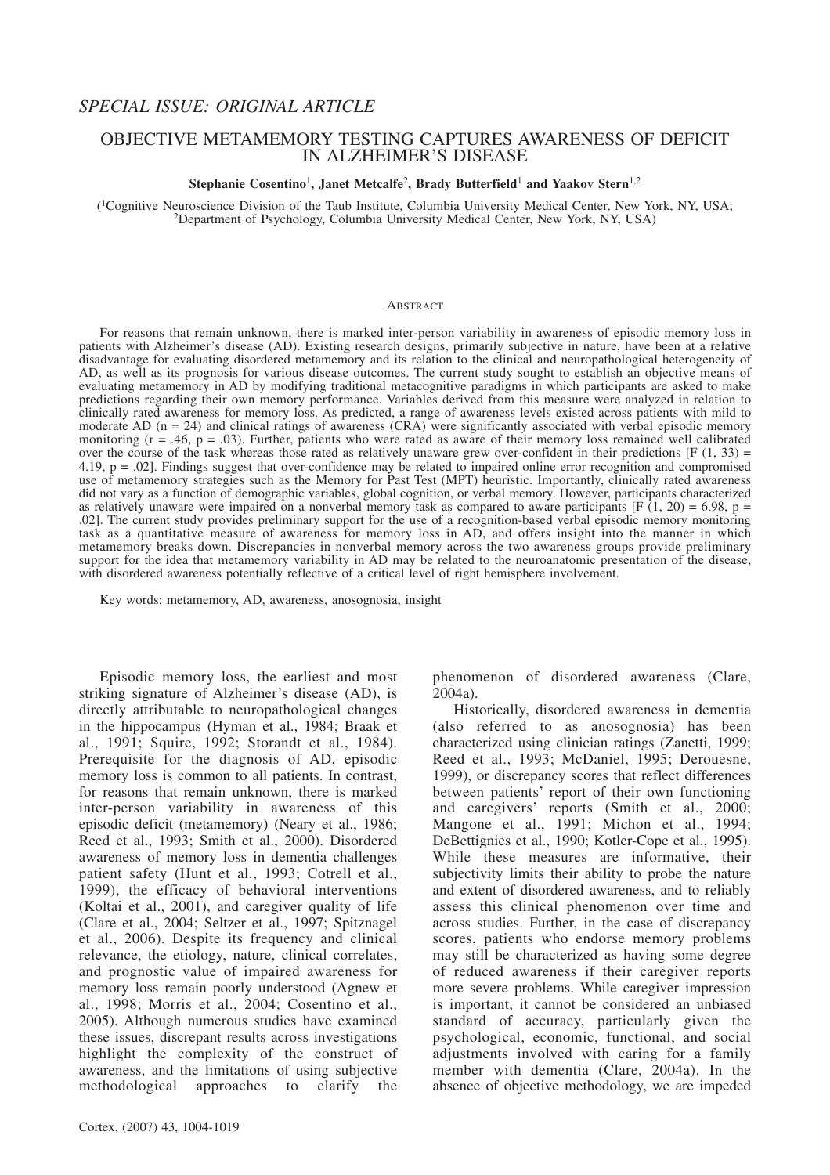## OBJECTIVE METAMEMORY TESTING CAPTURES AWARENESS OF DEFICIT IN ALZHEIMER'S DISEASE

## **Stephanie Cosentino**1**, Janet Metcalfe**2**, Brady Butterfield**<sup>1</sup> **and Yaakov Stern**1,2

(1Cognitive Neuroscience Division of the Taub Institute, Columbia University Medical Center, New York, NY, USA; 2Department of Psychology, Columbia University Medical Center, New York, NY, USA)

## **ABSTRACT**

For reasons that remain unknown, there is marked inter-person variability in awareness of episodic memory loss in patients with Alzheimer's disease (AD). Existing research designs, primarily subjective in nature, have been at a relative disadvantage for evaluating disordered metamemory and its relation to the clinical and neuropathological heterogeneity of AD, as well as its prognosis for various disease outcomes. The current study sought to establish an objective means of evaluating metamemory in AD by modifying traditional metacognitive paradigms in which participants are asked to make predictions regarding their own memory performance. Variables derived from this measure were analyzed in relation to clinically rated awareness for memory loss. As predicted, a range of awareness levels existed across patients with mild to moderate AD  $(n = 24)$  and clinical ratings of awareness  $(CRA)$  were significantly associated with verbal episodic memory monitoring  $(r = .46, p = .03)$ . Further, patients who were rated as aware of their memory loss remained well calibrated over the course of the task whereas those rated as relatively unaware grew over-confident in their predictions  $[F(1, 33)]$ 4.19, p = .02]. Findings suggest that over-confidence may be related to impaired online error recognition and compromised use of metamemory strategies such as the Memory for Past Test (MPT) heuristic. Importantly, clinically rated awareness did not vary as a function of demographic variables, global cognition, or verbal memory. However, participants characterized as relatively unaware were impaired on a nonverbal memory task as compared to aware participants  $[F(1, 20) = 6.98, p =$ .02]. The current study provides preliminary support for the use of a recognition-based verbal episodic memory monitoring task as a quantitative measure of awareness for memory loss in AD, and offers insight into the manner in which metamemory breaks down. Discrepancies in nonverbal memory across the two awareness groups provide preliminary support for the idea that metamemory variability in AD may be related to the neuroanatomic presentation of the disease, with disordered awareness potentially reflective of a critical level of right hemisphere involvement.

Key words: metamemory, AD, awareness, anosognosia, insight

Episodic memory loss, the earliest and most striking signature of Alzheimer's disease (AD), is directly attributable to neuropathological changes in the hippocampus (Hyman et al., 1984; Braak et al., 1991; Squire, 1992; Storandt et al., 1984). Prerequisite for the diagnosis of AD, episodic memory loss is common to all patients. In contrast, for reasons that remain unknown, there is marked inter-person variability in awareness of this episodic deficit (metamemory) (Neary et al., 1986; Reed et al., 1993; Smith et al., 2000). Disordered awareness of memory loss in dementia challenges patient safety (Hunt et al., 1993; Cotrell et al., 1999), the efficacy of behavioral interventions (Koltai et al., 2001), and caregiver quality of life (Clare et al., 2004; Seltzer et al., 1997; Spitznagel et al., 2006). Despite its frequency and clinical relevance, the etiology, nature, clinical correlates, and prognostic value of impaired awareness for memory loss remain poorly understood (Agnew et al., 1998; Morris et al., 2004; Cosentino et al., 2005). Although numerous studies have examined these issues, discrepant results across investigations highlight the complexity of the construct of awareness, and the limitations of using subjective methodological approaches to clarify the

phenomenon of disordered awareness (Clare, 2004a).

Historically, disordered awareness in dementia (also referred to as anosognosia) has been characterized using clinician ratings (Zanetti, 1999; Reed et al., 1993; McDaniel, 1995; Derouesne, 1999), or discrepancy scores that reflect differences between patients' report of their own functioning and caregivers' reports (Smith et al., 2000; Mangone et al., 1991; Michon et al., 1994; DeBettignies et al., 1990; Kotler-Cope et al., 1995). While these measures are informative, their subjectivity limits their ability to probe the nature and extent of disordered awareness, and to reliably assess this clinical phenomenon over time and across studies. Further, in the case of discrepancy scores, patients who endorse memory problems may still be characterized as having some degree of reduced awareness if their caregiver reports more severe problems. While caregiver impression is important, it cannot be considered an unbiased standard of accuracy, particularly given the psychological, economic, functional, and social adjustments involved with caring for a family member with dementia (Clare, 2004a). In the absence of objective methodology, we are impeded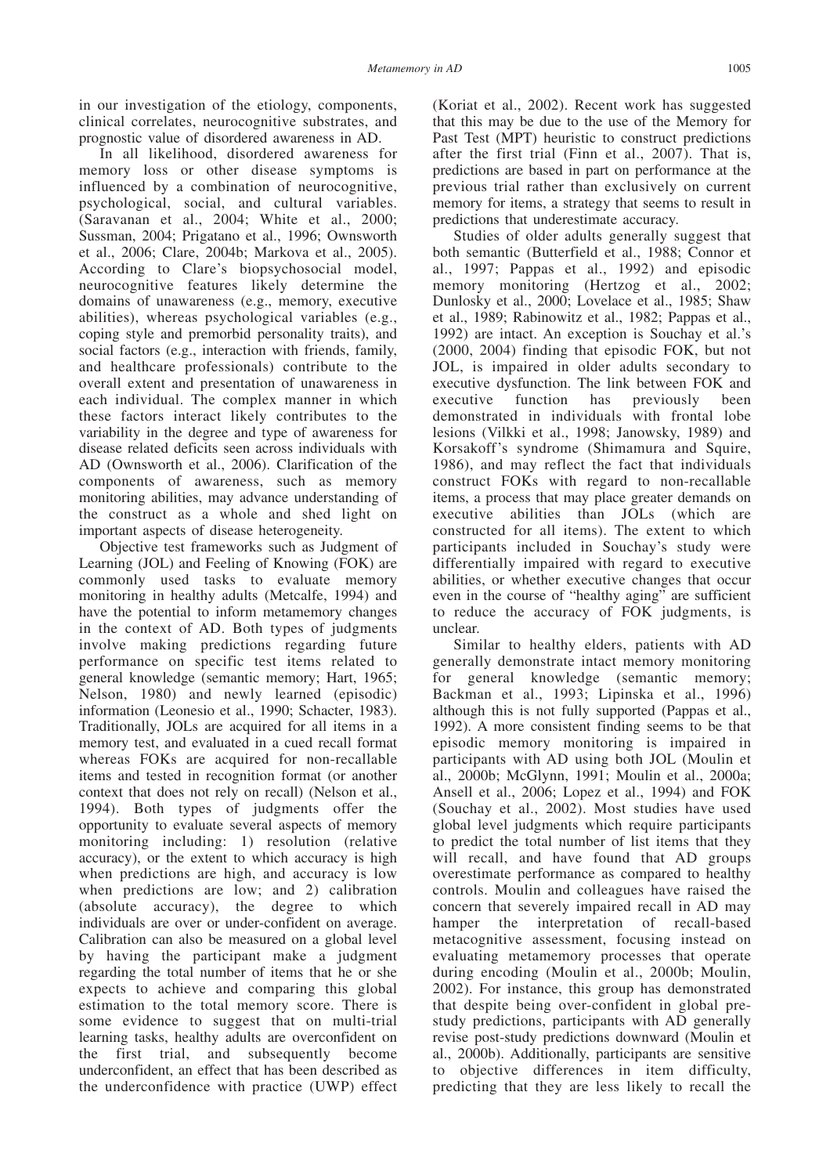in our investigation of the etiology, components, clinical correlates, neurocognitive substrates, and prognostic value of disordered awareness in AD.

In all likelihood, disordered awareness for memory loss or other disease symptoms is influenced by a combination of neurocognitive, psychological, social, and cultural variables. (Saravanan et al., 2004; White et al., 2000; Sussman, 2004; Prigatano et al., 1996; Ownsworth et al., 2006; Clare, 2004b; Markova et al., 2005). According to Clare's biopsychosocial model, neurocognitive features likely determine the domains of unawareness (e.g., memory, executive abilities), whereas psychological variables (e.g., coping style and premorbid personality traits), and social factors (e.g., interaction with friends, family, and healthcare professionals) contribute to the overall extent and presentation of unawareness in each individual. The complex manner in which these factors interact likely contributes to the variability in the degree and type of awareness for disease related deficits seen across individuals with AD (Ownsworth et al., 2006). Clarification of the components of awareness, such as memory monitoring abilities, may advance understanding of the construct as a whole and shed light on important aspects of disease heterogeneity.

Objective test frameworks such as Judgment of Learning (JOL) and Feeling of Knowing (FOK) are commonly used tasks to evaluate memory monitoring in healthy adults (Metcalfe, 1994) and have the potential to inform metamemory changes in the context of AD. Both types of judgments involve making predictions regarding future performance on specific test items related to general knowledge (semantic memory; Hart, 1965; Nelson, 1980) and newly learned (episodic) information (Leonesio et al., 1990; Schacter, 1983). Traditionally, JOLs are acquired for all items in a memory test, and evaluated in a cued recall format whereas FOKs are acquired for non-recallable items and tested in recognition format (or another context that does not rely on recall) (Nelson et al., 1994). Both types of judgments offer the opportunity to evaluate several aspects of memory monitoring including: 1) resolution (relative accuracy), or the extent to which accuracy is high when predictions are high, and accuracy is low when predictions are low; and 2) calibration (absolute accuracy), the degree to which individuals are over or under-confident on average. Calibration can also be measured on a global level by having the participant make a judgment regarding the total number of items that he or she expects to achieve and comparing this global estimation to the total memory score. There is some evidence to suggest that on multi-trial learning tasks, healthy adults are overconfident on the first trial, and subsequently become underconfident, an effect that has been described as the underconfidence with practice (UWP) effect (Koriat et al., 2002). Recent work has suggested that this may be due to the use of the Memory for Past Test (MPT) heuristic to construct predictions after the first trial (Finn et al., 2007). That is, predictions are based in part on performance at the previous trial rather than exclusively on current memory for items, a strategy that seems to result in predictions that underestimate accuracy.

Studies of older adults generally suggest that both semantic (Butterfield et al., 1988; Connor et al., 1997; Pappas et al., 1992) and episodic memory monitoring (Hertzog et al., 2002; Dunlosky et al., 2000; Lovelace et al., 1985; Shaw et al., 1989; Rabinowitz et al., 1982; Pappas et al., 1992) are intact. An exception is Souchay et al.'s (2000, 2004) finding that episodic FOK, but not JOL, is impaired in older adults secondary to executive dysfunction. The link between FOK and executive function has previously been demonstrated in individuals with frontal lobe lesions (Vilkki et al., 1998; Janowsky, 1989) and Korsakoff's syndrome (Shimamura and Squire, 1986), and may reflect the fact that individuals construct FOKs with regard to non-recallable items, a process that may place greater demands on executive abilities than JOLs (which are constructed for all items). The extent to which participants included in Souchay's study were differentially impaired with regard to executive abilities, or whether executive changes that occur even in the course of "healthy aging" are sufficient to reduce the accuracy of FOK judgments, is unclear.

Similar to healthy elders, patients with AD generally demonstrate intact memory monitoring for general knowledge (semantic memory; Backman et al., 1993; Lipinska et al., 1996) although this is not fully supported (Pappas et al., 1992). A more consistent finding seems to be that episodic memory monitoring is impaired in participants with AD using both JOL (Moulin et al., 2000b; McGlynn, 1991; Moulin et al., 2000a; Ansell et al., 2006; Lopez et al., 1994) and FOK (Souchay et al., 2002). Most studies have used global level judgments which require participants to predict the total number of list items that they will recall, and have found that AD groups overestimate performance as compared to healthy controls. Moulin and colleagues have raised the concern that severely impaired recall in AD may hamper the interpretation of recall-based metacognitive assessment, focusing instead on evaluating metamemory processes that operate during encoding (Moulin et al., 2000b; Moulin, 2002). For instance, this group has demonstrated that despite being over-confident in global prestudy predictions, participants with AD generally revise post-study predictions downward (Moulin et al., 2000b). Additionally, participants are sensitive to objective differences in item difficulty, predicting that they are less likely to recall the